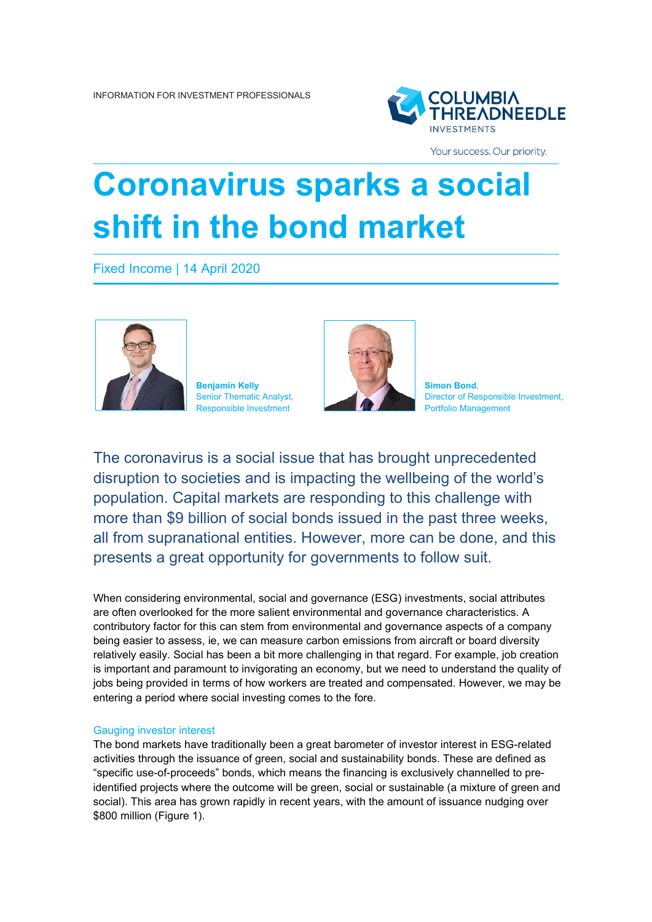

Your success. Our priority.

# **Coronavirus sparks a social shift in the bond market**

Fixed Income | 14 April 2020





Director of Responsible Investment,

The coronavirus is a social issue that has brought unprecedented disruption to societies and is impacting the wellbeing of the world's population. Capital markets are responding to this challenge with more than \$9 billion of social bonds issued in the past three weeks, all from supranational entities. However, more can be done, and this presents a great opportunity for governments to follow suit.

When considering environmental, social and governance (ESG) investments, social attributes are often overlooked for the more salient environmental and governance characteristics. A contributory factor for this can stem from environmental and governance aspects of a company being easier to assess, ie, we can measure carbon emissions from aircraft or board diversity relatively easily. Social has been a bit more challenging in that regard. For example, job creation is important and paramount to invigorating an economy, but we need to understand the quality of jobs being provided in terms of how workers are treated and compensated. However, we may be entering a period where social investing comes to the fore.

## Gauging investor interest

The bond markets have traditionally been a great barometer of investor interest in ESG-related activities through the issuance of green, social and sustainability bonds. These are defined as "specific use-of-proceeds" bonds, which means the financing is exclusively channelled to preidentified projects where the outcome will be green, social or sustainable (a mixture of green and social). This area has grown rapidly in recent years, with the amount of issuance nudging over \$800 million (Figure 1).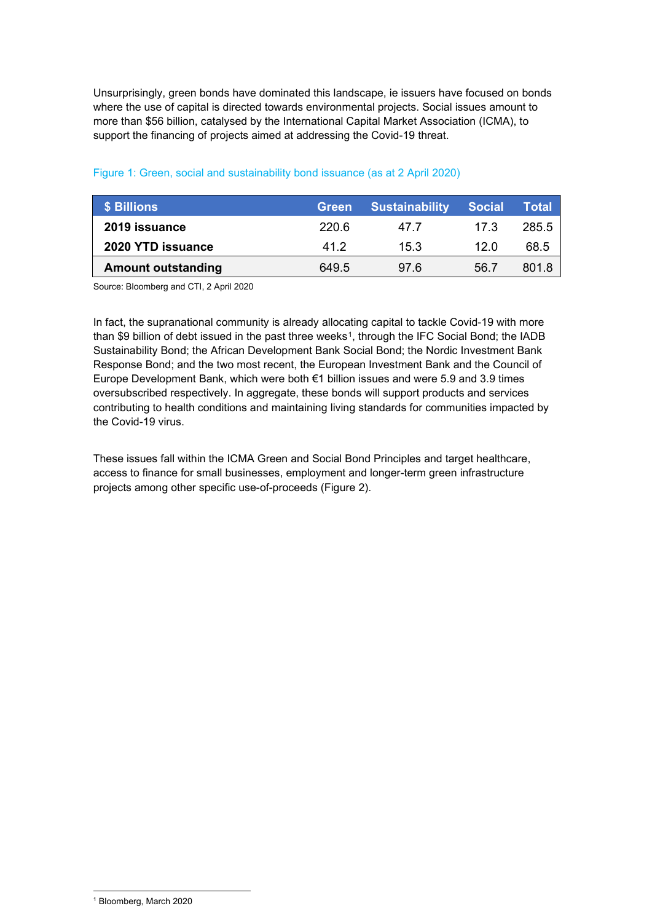Unsurprisingly, green bonds have dominated this landscape, ie issuers have focused on bonds where the use of capital is directed towards environmental projects. Social issues amount to more than \$56 billion, catalysed by the International Capital Market Association (ICMA), to support the financing of projects aimed at addressing the Covid-19 threat.

| S Billions                | <b>Green</b> | <b>Sustainability</b> | <b>Social</b> | Total |
|---------------------------|--------------|-----------------------|---------------|-------|
| 2019 issuance             | 220.6        | 47 7                  | 17.3          | 285.5 |
| 2020 YTD issuance         | 412          | 15.3                  | 12 O          | 68.5  |
| <b>Amount outstanding</b> | 649.5        | 976                   | 56.7          | 801.8 |

## Figure 1: Green, social and sustainability bond issuance (as at 2 April 2020)

Source: Bloomberg and CTI, 2 April 2020

In fact, the supranational community is already allocating capital to tackle Covid-19 with more than \$9 billion of debt issued in the past three weeks<sup>1</sup>, through the IFC Social Bond; the IADB Sustainability Bond; the African Development Bank Social Bond; the Nordic Investment Bank Response Bond; and the two most recent, the European Investment Bank and the Council of Europe Development Bank, which were both €1 billion issues and were 5.9 and 3.9 times oversubscribed respectively. In aggregate, these bonds will support products and services contributing to health conditions and maintaining living standards for communities impacted by the Covid-19 virus.

These issues fall within the ICMA Green and Social Bond Principles and target healthcare, access to finance for small businesses, employment and longer-term green infrastructure projects among other specific use-of-proceeds (Figure 2).

<span id="page-1-0"></span><sup>1</sup> Bloomberg, March 2020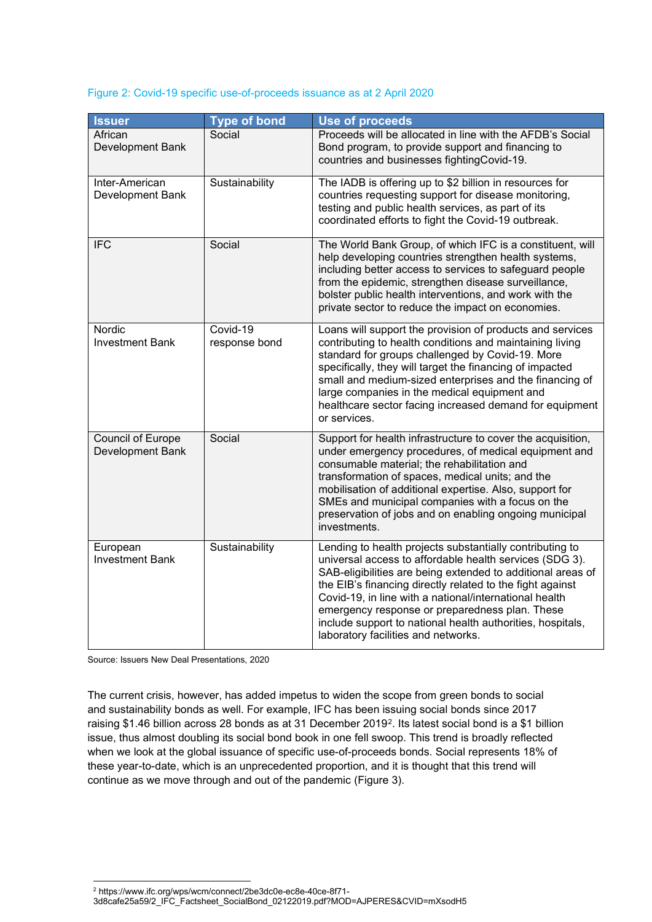## Figure 2: Covid-19 specific use-of-proceeds issuance as at 2 April 2020

| <b>Issuer</b>                         | <b>Type of bond</b>       | <b>Use of proceeds</b>                                                                                                                                                                                                                                                                                                                                                                                                                                           |
|---------------------------------------|---------------------------|------------------------------------------------------------------------------------------------------------------------------------------------------------------------------------------------------------------------------------------------------------------------------------------------------------------------------------------------------------------------------------------------------------------------------------------------------------------|
| African<br>Development Bank           | Social                    | Proceeds will be allocated in line with the AFDB's Social<br>Bond program, to provide support and financing to<br>countries and businesses fightingCovid-19.                                                                                                                                                                                                                                                                                                     |
| Inter-American<br>Development Bank    | Sustainability            | The IADB is offering up to \$2 billion in resources for<br>countries requesting support for disease monitoring,<br>testing and public health services, as part of its<br>coordinated efforts to fight the Covid-19 outbreak.                                                                                                                                                                                                                                     |
| <b>IFC</b>                            | Social                    | The World Bank Group, of which IFC is a constituent, will<br>help developing countries strengthen health systems,<br>including better access to services to safeguard people<br>from the epidemic, strengthen disease surveillance,<br>bolster public health interventions, and work with the<br>private sector to reduce the impact on economies.                                                                                                               |
| Nordic<br><b>Investment Bank</b>      | Covid-19<br>response bond | Loans will support the provision of products and services<br>contributing to health conditions and maintaining living<br>standard for groups challenged by Covid-19. More<br>specifically, they will target the financing of impacted<br>small and medium-sized enterprises and the financing of<br>large companies in the medical equipment and<br>healthcare sector facing increased demand for equipment<br>or services.                                      |
| Council of Europe<br>Development Bank | Social                    | Support for health infrastructure to cover the acquisition,<br>under emergency procedures, of medical equipment and<br>consumable material; the rehabilitation and<br>transformation of spaces, medical units; and the<br>mobilisation of additional expertise. Also, support for<br>SMEs and municipal companies with a focus on the<br>preservation of jobs and on enabling ongoing municipal<br>investments.                                                  |
| European<br><b>Investment Bank</b>    | Sustainability            | Lending to health projects substantially contributing to<br>universal access to affordable health services (SDG 3).<br>SAB-eligibilities are being extended to additional areas of<br>the EIB's financing directly related to the fight against<br>Covid-19, in line with a national/international health<br>emergency response or preparedness plan. These<br>include support to national health authorities, hospitals,<br>laboratory facilities and networks. |

Source: Issuers New Deal Presentations, 2020

The current crisis, however, has added impetus to widen the scope from green bonds to social and sustainability bonds as well. For example, IFC has been issuing social bonds since 2017 raising \$1.46 billion across 28 bonds as at 31 December 2019[2](#page-2-0). Its latest social bond is a \$1 billion issue, thus almost doubling its social bond book in one fell swoop. This trend is broadly reflected when we look at the global issuance of specific use-of-proceeds bonds. Social represents 18% of these year-to-date, which is an unprecedented proportion, and it is thought that this trend will continue as we move through and out of the pandemic (Figure 3).

<span id="page-2-0"></span><sup>2</sup> https://www.ifc.org/wps/wcm/connect/2be3dc0e-ec8e-40ce-8f71-

<sup>3</sup>d8cafe25a59/2\_IFC\_Factsheet\_SocialBond\_02122019.pdf?MOD=AJPERES&CVID=mXsodH5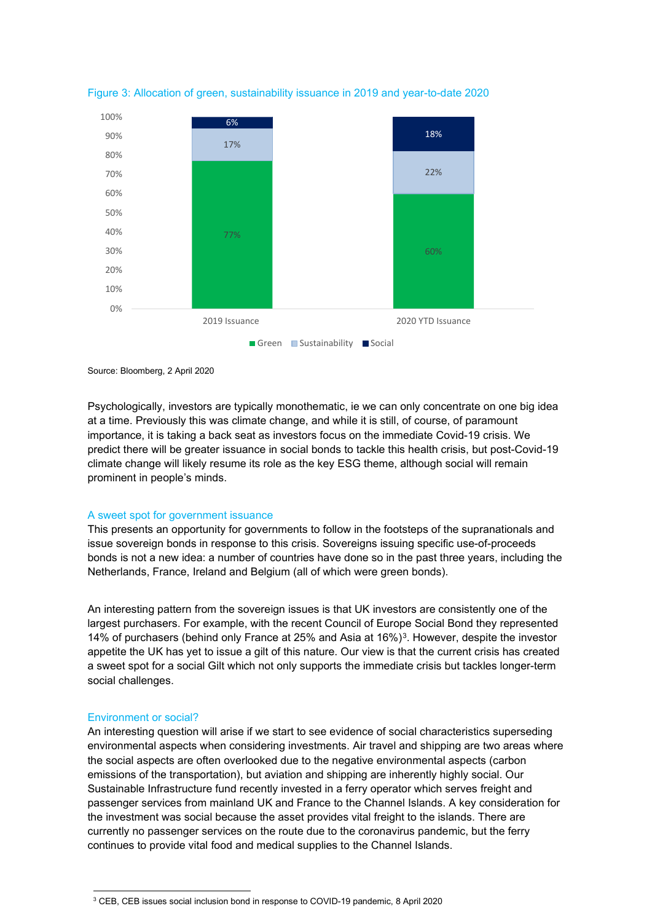

Figure 3: Allocation of green, sustainability issuance in 2019 and year-to-date 2020

Source: Bloomberg, 2 April 2020

Psychologically, investors are typically monothematic, ie we can only concentrate on one big idea at a time. Previously this was climate change, and while it is still, of course, of paramount importance, it is taking a back seat as investors focus on the immediate Covid-19 crisis. We predict there will be greater issuance in social bonds to tackle this health crisis, but post-Covid-19 climate change will likely resume its role as the key ESG theme, although social will remain prominent in people's minds.

## A sweet spot for government issuance

This presents an opportunity for governments to follow in the footsteps of the supranationals and issue sovereign bonds in response to this crisis. Sovereigns issuing specific use-of-proceeds bonds is not a new idea: a number of countries have done so in the past three years, including the Netherlands, France, Ireland and Belgium (all of which were green bonds).

An interesting pattern from the sovereign issues is that UK investors are consistently one of the largest purchasers. For example, with the recent Council of Europe Social Bond they represented 14% of purchasers (behind only France at 25% and Asia at 16%)[3.](#page-3-0) However, despite the investor appetite the UK has yet to issue a gilt of this nature. Our view is that the current crisis has created a sweet spot for a social Gilt which not only supports the immediate crisis but tackles longer-term social challenges.

## Environment or social?

An interesting question will arise if we start to see evidence of social characteristics superseding environmental aspects when considering investments. Air travel and shipping are two areas where the social aspects are often overlooked due to the negative environmental aspects (carbon emissions of the transportation), but aviation and shipping are inherently highly social. Our Sustainable Infrastructure fund recently invested in a ferry operator which serves freight and passenger services from mainland UK and France to the Channel Islands. A key consideration for the investment was social because the asset provides vital freight to the islands. There are currently no passenger services on the route due to the coronavirus pandemic, but the ferry continues to provide vital food and medical supplies to the Channel Islands.

<span id="page-3-0"></span><sup>3</sup> CEB, CEB issues social inclusion bond in response to COVID-19 pandemic, 8 April 2020